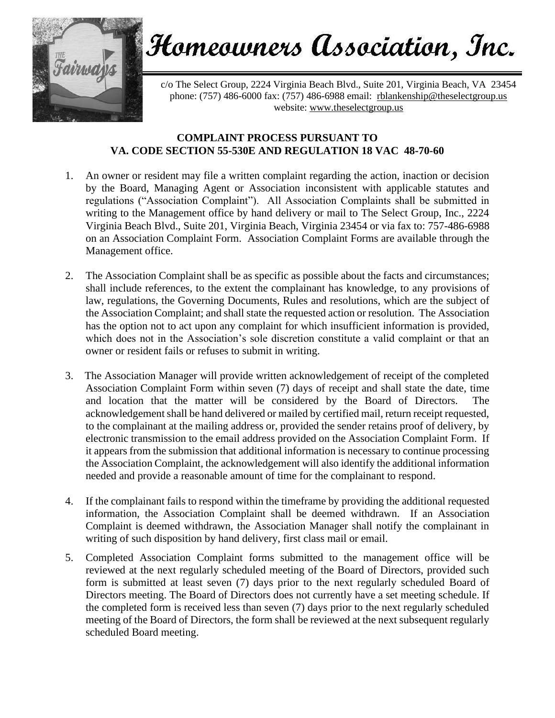

## Homeowners Association, Inc.

c/o The Select Group, 2224 Virginia Beach Blvd., Suite 201, Virginia Beach, VA 23454 phone: (757) 486-6000 fax: (757) 486-6988 email: [rblankenship@theselectgroup.us](mailto:rblankenship@theselectgroup.us)  website: [www.theselectgroup.us](http://www.theselectgroup.us/)

## **COMPLAINT PROCESS PURSUANT TO VA. CODE SECTION 55-530E AND REGULATION 18 VAC 48-70-60**

- 1. An owner or resident may file a written complaint regarding the action, inaction or decision by the Board, Managing Agent or Association inconsistent with applicable statutes and regulations ("Association Complaint"). All Association Complaints shall be submitted in writing to the Management office by hand delivery or mail to The Select Group, Inc., 2224 Virginia Beach Blvd., Suite 201, Virginia Beach, Virginia 23454 or via fax to: 757-486-6988 on an Association Complaint Form. Association Complaint Forms are available through the Management office.
- 2. The Association Complaint shall be as specific as possible about the facts and circumstances; shall include references, to the extent the complainant has knowledge, to any provisions of law, regulations, the Governing Documents, Rules and resolutions, which are the subject of the Association Complaint; and shall state the requested action or resolution. The Association has the option not to act upon any complaint for which insufficient information is provided, which does not in the Association's sole discretion constitute a valid complaint or that an owner or resident fails or refuses to submit in writing.
- 3. The Association Manager will provide written acknowledgement of receipt of the completed Association Complaint Form within seven (7) days of receipt and shall state the date, time and location that the matter will be considered by the Board of Directors. The acknowledgement shall be hand delivered or mailed by certified mail, return receipt requested, to the complainant at the mailing address or, provided the sender retains proof of delivery, by electronic transmission to the email address provided on the Association Complaint Form. If it appears from the submission that additional information is necessary to continue processing the Association Complaint, the acknowledgement will also identify the additional information needed and provide a reasonable amount of time for the complainant to respond.
- 4. If the complainant fails to respond within the timeframe by providing the additional requested information, the Association Complaint shall be deemed withdrawn. If an Association Complaint is deemed withdrawn, the Association Manager shall notify the complainant in writing of such disposition by hand delivery, first class mail or email.
- 5. Completed Association Complaint forms submitted to the management office will be reviewed at the next regularly scheduled meeting of the Board of Directors, provided such form is submitted at least seven (7) days prior to the next regularly scheduled Board of Directors meeting. The Board of Directors does not currently have a set meeting schedule. If the completed form is received less than seven (7) days prior to the next regularly scheduled meeting of the Board of Directors, the form shall be reviewed at the next subsequent regularly scheduled Board meeting.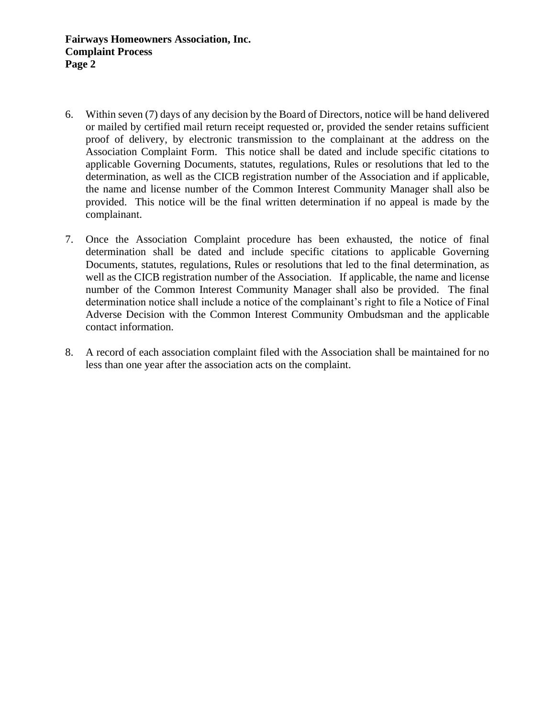- 6. Within seven (7) days of any decision by the Board of Directors, notice will be hand delivered or mailed by certified mail return receipt requested or, provided the sender retains sufficient proof of delivery, by electronic transmission to the complainant at the address on the Association Complaint Form. This notice shall be dated and include specific citations to applicable Governing Documents, statutes, regulations, Rules or resolutions that led to the determination, as well as the CICB registration number of the Association and if applicable, the name and license number of the Common Interest Community Manager shall also be provided. This notice will be the final written determination if no appeal is made by the complainant.
- 7. Once the Association Complaint procedure has been exhausted, the notice of final determination shall be dated and include specific citations to applicable Governing Documents, statutes, regulations, Rules or resolutions that led to the final determination, as well as the CICB registration number of the Association. If applicable, the name and license number of the Common Interest Community Manager shall also be provided. The final determination notice shall include a notice of the complainant's right to file a Notice of Final Adverse Decision with the Common Interest Community Ombudsman and the applicable contact information.
- 8. A record of each association complaint filed with the Association shall be maintained for no less than one year after the association acts on the complaint.